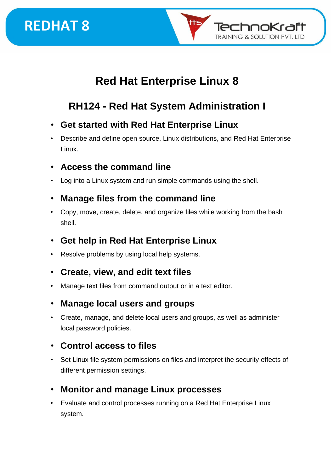

## **Red Hat Enterprise Linux 8**

## **RH124 - Red Hat System Administration I**

- **Get started with Red Hat Enterprise Linux**
- Describe and define open source, Linux distributions, and Red Hat Enterprise Linux.
- **Access the command line**
- Log into a Linux system and run simple commands using the shell.

#### • **Manage files from the command line**

• Copy, move, create, delete, and organize files while working from the bash shell.

#### • **Get help in Red Hat Enterprise Linux**

- Resolve problems by using local help systems.
- **Create, view, and edit text files**
- Manage text files from command output or in a text editor.
- **Manage local users and groups**
- Create, manage, and delete local users and groups, as well as administer local password policies.

#### • **Control access to files**

- Set Linux file system permissions on files and interpret the security effects of different permission settings.
- **Monitor and manage Linux processes**
- Evaluate and control processes running on a Red Hat Enterprise Linux system.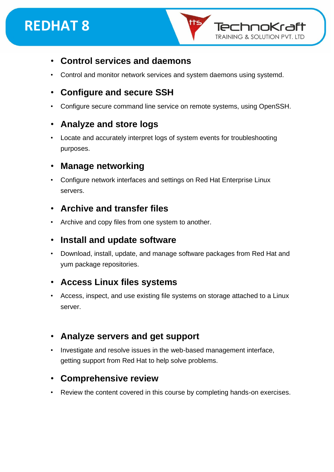

#### • **Control services and daemons**

• Control and monitor network services and system daemons using systemd.

#### • **Configure and secure SSH**

• Configure secure command line service on remote systems, using OpenSSH.

#### • **Analyze and store logs**

• Locate and accurately interpret logs of system events for troubleshooting purposes.

#### • **Manage networking**

• Configure network interfaces and settings on Red Hat Enterprise Linux servers.

#### • **Archive and transfer files**

• Archive and copy files from one system to another.

#### • **Install and update software**

• Download, install, update, and manage software packages from Red Hat and yum package repositories.

#### • **Access Linux files systems**

• Access, inspect, and use existing file systems on storage attached to a Linux server.

#### • **Analyze servers and get support**

• Investigate and resolve issues in the web-based management interface, getting support from Red Hat to help solve problems.

#### • **Comprehensive review**

Review the content covered in this course by completing hands-on exercises.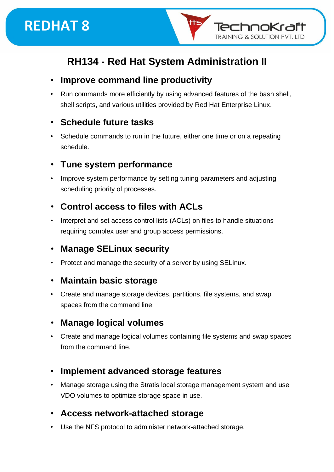

nokraft

**TRAINING & SOLUTION PVT. LTD** 

#### • **Improve command line productivity**

• Run commands more efficiently by using advanced features of the bash shell, shell scripts, and various utilities provided by Red Hat Enterprise Linux.

#### • **Schedule future tasks**

Schedule commands to run in the future, either one time or on a repeating schedule.

#### • **Tune system performance**

• Improve system performance by setting tuning parameters and adjusting scheduling priority of processes.

#### • **Control access to files with ACLs**

• Interpret and set access control lists (ACLs) on files to handle situations requiring complex user and group access permissions.

#### • **Manage SELinux security**

• Protect and manage the security of a server by using SELinux.

#### • **Maintain basic storage**

• Create and manage storage devices, partitions, file systems, and swap spaces from the command line.

#### • **Manage logical volumes**

• Create and manage logical volumes containing file systems and swap spaces from the command line.

#### • **Implement advanced storage features**

• Manage storage using the Stratis local storage management system and use VDO volumes to optimize storage space in use.

#### • **Access network-attached storage**

• Use the NFS protocol to administer network-attached storage.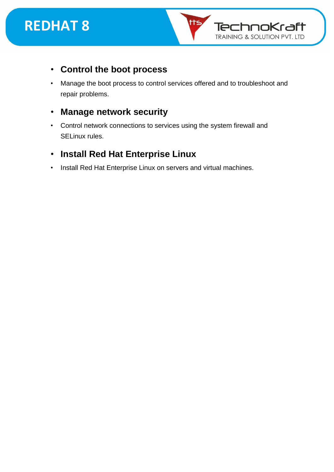



- **Control the boot process**
- Manage the boot process to control services offered and to troubleshoot and repair problems.
- **Manage network security**
- Control network connections to services using the system firewall and SELinux rules.
- **Install Red Hat Enterprise Linux**
- Install Red Hat Enterprise Linux on servers and virtual machines.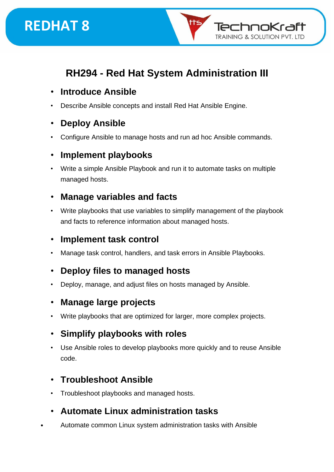

## **RH294 - Red Hat System Administration III**

- **Introduce Ansible**
- Describe Ansible concepts and install Red Hat Ansible Engine.

#### • **Deploy Ansible**

• Configure Ansible to manage hosts and run ad hoc Ansible commands.

#### • **Implement playbooks**

• Write a simple Ansible Playbook and run it to automate tasks on multiple managed hosts.

#### • **Manage variables and facts**

• Write playbooks that use variables to simplify management of the playbook and facts to reference information about managed hosts.

#### • **Implement task control**

• Manage task control, handlers, and task errors in Ansible Playbooks.

#### • **Deploy files to managed hosts**

• Deploy, manage, and adjust files on hosts managed by Ansible.

#### • **Manage large projects**

Write playbooks that are optimized for larger, more complex projects.

#### • **Simplify playbooks with roles**

Use Ansible roles to develop playbooks more quickly and to reuse Ansible code.

#### • **Troubleshoot Ansible**

• Troubleshoot playbooks and managed hosts.

#### • **Automate Linux administration tasks**

• Automate common Linux system administration tasks with Ansible